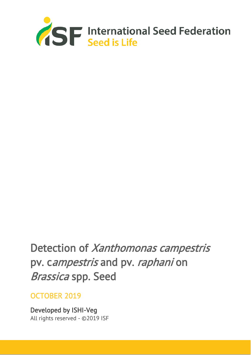

# Detection of Xanthomonas campestris pv. campestris and pv. raphani on Brassica spp. Seed

# OCTOBER 2019

Developed by ISHI-Veg All rights reserved - ©2019 ISF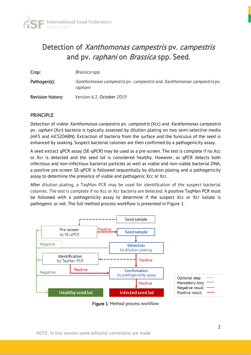

# Detection of Xanthomonas campestris pv. campestris and pv. raphani on Brassica spp. Seed.

**Crop:** Brassica spp.

Pathogen(s): Xanthomonas campestris pv. campestris and Xanthomonas campestris pv. raphani

Revision history: Version 6.2, October 2019

#### PRINCIPLE

Detection of viable Xanthomonas campestris pv. campestris (Xcc) and Xanthomonas campestris pv. raphani (Xcr) bacteria is typically assessed by dilution plating on two semi-selective media (mFS and mCS20ABN). Extraction of bacteria from the surface and the funiculus of the seed is enhanced by soaking. Suspect bacterial colonies are then confirmed by a pathogenicity assay.

A seed extract qPCR assay (SE-qPCR) may be used as a pre-screen. The test is complete if no Xcc or Xcr is detected and the seed lot is considered healthy. However, as qPCR detects both infectious and non-infectious bacterial particles as well as viable and non-viable bacterial DNA, a positive pre-screen SE-qPCR is followed sequentially by dilution plating and a pathogenicity assay to determine the presence of viable and pathogenic Xcc or Xcr.

After dilution plating, a TaqMan PCR may be used for identification of the suspect bacterial colonies. The test is complete if no Xcc or Xcr bacteria are detected. A positive TaqMan PCR must be followed with a pathogenicity assay to determine if the suspect Xcc or Xcr isolate is pathogenic or not. The full method process workflow is presented in Figure 1.



Figure 1: Method process workflow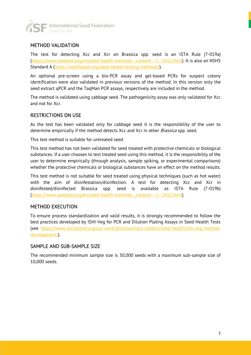

#### METHOD VALIDATION

The test for detecting Xcc and Xcr on Brassica spp. seed is an ISTA Rule (7-019a) [\(https://www.seedtest.org/en/seed-health-methods-\\_content---1--1452.html\)](https://www.seedtest.org/en/seed-health-methods-_content---1--1452.html). It is also an NSHS Standard A [\(https://seedhealth.org/seed-health-testing-methods/\)](https://seedhealth.org/seed-health-testing-methods/).

An optional pre-screen using a bio-PCR assay and gel-based PCRs for suspect colony identification were also validated in previous versions of the method. In this version only the seed extract qPCR and the TaqMan PCR assays, respectively are included in the method.

The method is validated using cabbage seed. The pathogenicity assay was only validated for Xcc and not for Xcr.

#### RESTRICTIONS ON USE

As the test has been validated only for cabbage seed it is the responsibility of the user to determine empirically if the method detects Xcc and Xcr in other *Brassica* spp. seed.

This test method is suitable for untreated seed.

This test method has not been validated for seed treated with protective chemicals or biological substances. If a user chooses to test treated seed using this method, it is the responsibility of the user to determine empirically (through analysis, sample spiking, or experimental comparisons) whether the protective chemicals or biological substances have an effect on the method results.

This test method is not suitable for seed treated using physical techniques (such as hot water) with the aim of disinfestation/disinfection. A test for detecting Xcc and Xcr in disinfested/disinfected Brassica spp. seed is available as ISTA Rule (7-019b) [\(https://www.seedtest.org/en/seed-health-methods-\\_content---1--1452.html\)](https://www.seedtest.org/en/seed-health-methods-_content---1--1452.html).

#### METHOD EXECUTION

To ensure process standardization and valid results, it is strongly recommended to follow the best practices developed by ISHI-Veg for PCR and Dilution Plating Assays in Seed Health Tests (see [https://www.worldseed.org/our-work/phytosanitary-matters/seed-health/ishi-veg-method](https://www.worldseed.org/our-work/phytosanitary-matters/seed-health/ishi-veg-method-development/)[development/\)](https://www.worldseed.org/our-work/phytosanitary-matters/seed-health/ishi-veg-method-development/).

#### SAMPLE AND SUB-SAMPLE SIZE

The recommended minimum sample size is 30,000 seeds with a maximum sub-sample size of 10,000 seeds.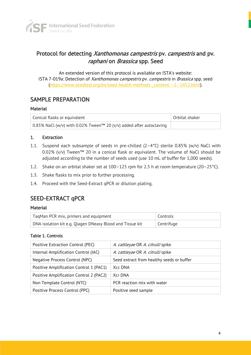

# Protocol for detecting Xanthomonas campestris pv. campestris and pv. raphani on Brassica spp. Seed

An extended version of this protocol is available on ISTA's website: ISTA 7-019a: Detection of Xanthomonas campestris pv. campestris in Brassica spp. seed [\(https://www.seedtest.org/en/seed-health-methods-\\_content---1--1452.html\)](https://www.seedtest.org/en/seed-health-methods-_content---1--1452.html).

### SAMPLE PREPARATION

#### **Material**

| Conical flasks or equivalent                                        | Orbital shaker |
|---------------------------------------------------------------------|----------------|
| 0.85% NaCl (w/v) with 0.02% Tween™ 20 (v/v) added after autoclaving |                |

#### 1. Extraction

- 1.1. Suspend each subsample of seeds in pre-chilled  $(2-4\degree C)$  sterile 0.85% (w/v) NaCl with 0.02% (v/v) Tween™ 20 in a conical flask or equivalent. The volume of NaCl should be adjusted according to the number of seeds used (use 10 mL of buffer for 1,000 seeds).
- 1.2. Shake on an orbital shaker set at 100–125 rpm for 2.5 h at room temperature (20–25°C).
- 1.3. Shake flasks to mix prior to further processing.
- 1.4. Proceed with the Seed-Extract qPCR or dilution plating.

# SEED-EXTRACT qPCR

#### **Material**

| TaqMan PCR mix, primers and equipment                     | ' Controls |
|-----------------------------------------------------------|------------|
| DNA isolation kit e.g. Qiagen DNeasy Blood and Tissue kit | Centrifuge |

#### Table 1. Controls

| Positive Extraction Control (PEC)       | A. cattleyae OR A. citrulli spike         |
|-----------------------------------------|-------------------------------------------|
| Internal Amplification Control (IAC)    | A. cattleyae OR A. citrulli spike         |
| Negative Process Control (NPC)          | Seed extract from healthy seeds or buffer |
| Positive Amplification Control 1 (PAC1) | Xcc DNA                                   |
| Positive Amplification Control 2 (PAC2) | Xcr DNA                                   |
| Non Template Control (NTC)              | PCR reaction mix with water               |
| Positive Process Control (PPC)          | Positive seed sample                      |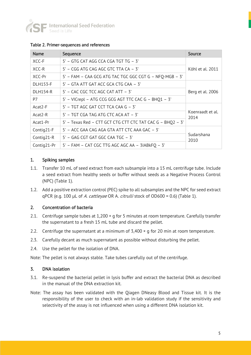

|  |  | Table 2. Primer-sequences and references |  |
|--|--|------------------------------------------|--|
|--|--|------------------------------------------|--|

| <b>Name</b>     | Sequence                                                   | <b>Source</b>            |
|-----------------|------------------------------------------------------------|--------------------------|
| XCC-F           | 5' - GTG CAT AGG CCA CGA TGT TG - 3'                       |                          |
| XCC-R           | 5' - CGG ATG CAG AGC GTC TTA CA - 3'                       | Köhl et al. 2011         |
| XCC-Pr          | 5' - FAM - CAA GCG ATG TAC TGC GGC CGT G - NFQ-MGB - 3'    |                          |
| <b>DLH153-F</b> | 5' – GTA ATT GAT ACC GCA CTG CAA – 3'                      |                          |
| <b>DLH154-R</b> | 5' - CAC CGC TCC AGC CAT ATT - 3'                          | Berg et al. 2006         |
| P7              | 5' - VICrepl - ATG CCG GCG AGT TTC CAC G - BHQ1 - 3'       |                          |
| $Acat2-F$       | $5'$ – TGT AGC GAT CCT TCA CAA G – 3'                      |                          |
| $Acat2-R$       | 5' – TGT CGA TAG ATG CTC ACA AT – 3'                       | Koenraadt et al.<br>2014 |
| Acat1-Pr        | 5' - Texas Red - CTT GCT CTG CTT CTC TAT CAC G - BHQ2 - 3' |                          |
| Contig21-F      | 5' – ACC GAA CAG AGA GTA ATT CTC AAA GAC – 3'              |                          |
| Contig21-R      | 5' - GAG CGT GAT GGC CAA TGC - 3'                          | Sudarshana<br>2010       |
| Contig21-Pr     | 5' - FAM - CAT CGC TTG AGC AGC AA - 3IABkFQ - 3'           |                          |

#### 1. Spiking samples

- 1.1. Transfer 10 mL of seed extract from each subsample into a 15 mL centrifuge tube. Include a seed extract from healthy seeds or buffer without seeds as a Negative Process Control (NPC) (Table 1).
- 1.2. Add a positive extraction control (PEC) spike to all subsamples and the NPC for seed extract qPCR (e.g. 100 µL of A. cattleyae OR A. citrulli stock of OD600 = 0.6) (Table 1).

#### 2. Concentration of bacteria

- 2.1. Centrifuge sample tubes at  $1,200 \times g$  for 5 minutes at room temperature. Carefully transfer the supernatant to a fresh 15 mL tube and discard the pellet.
- 2.2. Centrifuge the supernatant at a minimum of  $3,400 \times g$  for 20 min at room temperature.
- 2.3. Carefully decant as much supernatant as possible without disturbing the pellet.
- 2.4. Use the pellet for the isolation of DNA.

Note: The pellet is not always stable. Take tubes carefully out of the centrifuge.

#### 3. DNA isolation

- 3.1. Re-suspend the bacterial pellet in lysis buffer and extract the bacterial DNA as described in the manual of the DNA extraction kit.
- Note: The assay has been validated with the Qiagen DNeasy Blood and Tissue kit. It is the responsibility of the user to check with an in-lab validation study if the sensitivity and selectivity of the assay is not influenced when using a different DNA isolation kit.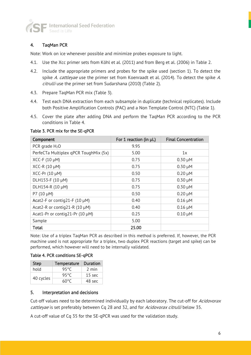

#### 4. TaqMan PCR

Note: Work on ice whenever possible and minimize probes exposure to light.

- 4.1. Use the Xcc primer sets from Köhl et al. (2011) and from Berg et al. (2006) in Table 2.
- 4.2. Include the appropriate primers and probes for the spike used (section 1). To detect the spike A. cattleyae use the primer set from Koenraadt et al. (2014). To detect the spike A. citrulli use the primer set from Sudarshana (2010) (Table 2).
- 4.3. Prepare TaqMan PCR mix (Table 3).
- 4.4. Test each DNA extraction from each subsample in duplicate (technical replicates). Include both Positive Amplification Controls (PAC) and a Non Template Control (NTC) (Table 1).
- 4.5. Cover the plate after adding DNA and perform the TaqMan PCR according to the PCR conditions in Table 4.

Table 3. PCR mix for the SE-qPCR

| Component                             | For 1 reaction (in µL) | <b>Final Concentration</b> |
|---------------------------------------|------------------------|----------------------------|
| PCR grade $H_2O$                      | 9.95                   |                            |
| PerfeCTa Multiplex qPCR ToughMix (5x) | 5.00                   | 1x                         |
| XCC-F (10 µM)                         | 0.75                   | $0.30 \mu M$               |
| $XCC-R (10 \mu M)$                    | 0.75                   | $0.30 \mu M$               |
| $XCC-Pr(10 \mu M)$                    | 0.50                   | $0.20 \mu M$               |
| DLH153-F (10 µM)                      | 0.75                   | $0.30 \mu M$               |
| DLH154-R (10 µM)                      | 0.75                   | $0.30 \mu M$               |
| P7 $(10 \mu M)$                       | 0.50                   | $0.20 \mu M$               |
| Acat2-F or contig21-F (10 $\mu$ M)    | 0.40                   | $0.16 \mu M$               |
| Acat2-R or contig21-R (10 $\mu$ M)    | 0.40                   | $0.16 \mu M$               |
| Acat1-Pr or contig21-Pr (10 µM)       | 0.25                   | $0.10 \mu M$               |
| Sample                                | 5.00                   |                            |
| Total                                 | 25.00                  |                            |

Note: Use of a triplex TaqMan PCR as described in this method is preferred. If, however, the PCR machine used is not appropriate for a triplex, two duplex PCR reactions (target and spike) can be performed, which however will need to be internally validated.

Table 4. PCR conditions SE-qPCR

| <b>Step</b> | <b>Temperature</b> | Duration         |
|-------------|--------------------|------------------|
| hold        | 95°C               | 2 min            |
|             | 95°C               | $15 \text{ sec}$ |
| 40 cycles   | 60°C               | 48 sec           |

#### 5. Interpretation and decisions

Cut-off values need to be determined individually by each laboratory. The cut-off for Acidovorax cattleyae is set preferably between Cq 28 and 32, and for Acidovorax citrulli below 35.

A cut-off value of Cq 35 for the SE-qPCR was used for the validation study.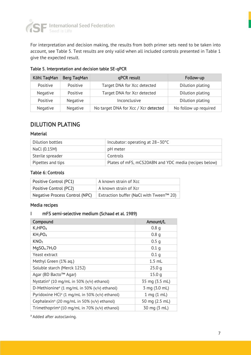

For interpretation and decision making, the results from both primer sets need to be taken into account, see Table 5. Test results are only valid when all included controls presented in Table 1 give the expected result.

| Köhl TaqMan | <b>Berg TagMan</b> | qPCR result                          | Follow-up             |
|-------------|--------------------|--------------------------------------|-----------------------|
| Positive    | Positive           | Target DNA for Xcc detected          | Dilution plating      |
| Negative    | Positive           | Target DNA for Xcr detected          | Dilution plating      |
| Positive    | Negative           | Inconclusive                         | Dilution plating      |
| Negative    | Negative           | No target DNA for Xcc / Xcr detected | No follow up required |

Table 5. Interpretation and decision table SE-qPCR

# DILUTION PLATING

#### **Material**

| Dilution bottles  | Incubator: operating at $28-30^{\circ}$ C             |
|-------------------|-------------------------------------------------------|
| NaCl (0.15M)      | pH meter                                              |
| Sterile spreader  | Controls                                              |
| Pipettes and tips | Plates of mFS, mCS20ABN and YDC media (recipes below) |

#### Table 6: Controls

| Positive Control (PC1)         | A known strain of Xcc                   |
|--------------------------------|-----------------------------------------|
| Positive Control (PC2)         | A known strain of Xcr                   |
| Negative Process Control (NPC) | Extraction buffer (NaCl with Tween™ 20) |

#### Media recipes

#### I mFS semi-selective medium (Schaad et al. 1989)

| Compound                                                       | Amount/L         |
|----------------------------------------------------------------|------------------|
| K <sub>2</sub> HPO <sub>4</sub>                                | 0.8 <sub>q</sub> |
| KH <sub>2</sub> PO <sub>4</sub>                                | 0.8 <sub>q</sub> |
| KNO <sub>3</sub>                                               | 0.5 <sub>q</sub> |
| MqSO <sub>4</sub> .7H <sub>2</sub> O                           | 0.1 <sub>q</sub> |
| Yeast extract                                                  | 0.1 <sub>q</sub> |
| Methyl Green (1% aq.)                                          | $1.5$ mL         |
| Soluble starch (Merck 1252)                                    | 25.0q            |
| Agar (BD Bacto™ Agar)                                          | 15.0q            |
| Nystatin <sup>ª</sup> (10 mg/mL in 50% (v/v) ethanol)          | 35 mg (3.5 mL)   |
| D-Methionine <sup>a</sup> (1 mg/mL in 50% ( $v/v$ ) ethanol)   | 3 mg (3.0 mL)    |
| Pyridoxine HCl <sup>a</sup> (1 mg/mL in 50% ( $v/v$ ) ethanol) | $1$ mg $(1$ mL)  |
| Cephalexin <sup>a</sup> (20 mg/mL in 50% (v/v) ethanol)        | 50 mg (2.5 mL)   |
| Trimethoprim <sup>a</sup> (10 mg/mL in 70% (v/v) ethanol)      | 30 mg (3 mL)     |

<sup>a</sup> Added after autoclaving.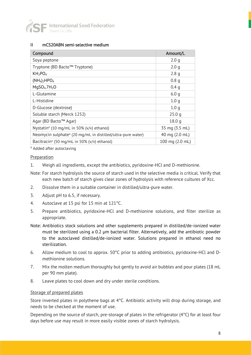

#### II mCS20ABN semi-selective medium

| Compound                                                                | Amount/L          |
|-------------------------------------------------------------------------|-------------------|
| Soya peptone                                                            | 2.0 <sub>q</sub>  |
| Tryptone (BD Bacto™ Tryptone)                                           | 2.0 <sub>q</sub>  |
| KH <sub>2</sub> PO <sub>4</sub>                                         | 2.8q              |
| $(NH4)2HPO4$                                                            | 0.8 <sub>q</sub>  |
| MqSO <sub>4</sub> .7H <sub>2</sub> O                                    | 0.4 <sub>q</sub>  |
| L-Glutamine                                                             | 6.0q              |
| L-Histidine                                                             | 1.0 <sub>q</sub>  |
| D-Glucose (dextrose)                                                    | 1.0 <sub>q</sub>  |
| Soluble starch (Merck 1252)                                             | 25.0q             |
| Agar (BD Bacto™ Agar)                                                   | 18.0 <sub>q</sub> |
| Nystatin <sup>a</sup> (10 mg/mL in 50% (v/v) ethanol)                   | 35 mg (3.5 mL)    |
| Neomycin sulphate <sup>a</sup> (20 mg/mL in distilled/ultra-pure water) | 40 mg (2.0 mL)    |
| Bacitracin <sup>a</sup> (50 mg/mL in 50% (v/v) ethanol)                 | 100 mg (2.0 mL)   |

a Added after autoclaving

#### Preparation

1. Weigh all ingredients, except the antibiotics, pyridoxine-HCl and D-methionine.

- Note: For starch hydrolysis the source of starch used in the selective media is critical. Verify that each new batch of starch gives clear zones of hydrolysis with reference cultures of Xcc.
- 2. Dissolve them in a suitable container in distilled/ultra-pure water.
- 3. Adjust pH to 6.5, if necessary.
- 4. Autoclave at 15 psi for 15 min at 121°C.
- 5. Prepare antibiotics, pyridoxine-HCl and D-methionine solutions, and filter sterilize as appropriate.
- Note: Antibiotics stock solutions and other supplements prepared in distilled/de-ionized water must be sterilized using a 0.2 µm bacterial filter. Alternatively, add the antibiotic powder to the autoclaved distilled/de-ionized water. Solutions prepared in ethanol need no sterilization.
- 6. Allow medium to cool to approx. 50°C prior to adding antibiotics, pyridoxine-HCl and Dmethionine solutions.
- 7. Mix the molten medium thoroughly but gently to avoid air bubbles and pour plates (18 mL per 90 mm plate).
- 8. Leave plates to cool down and dry under sterile conditions.

#### Storage of prepared plates

Store inverted plates in polythene bags at 4°C. Antibiotic activity will drop during storage, and needs to be checked at the moment of use.

Depending on the source of starch, pre-storage of plates in the refrigerator (4°C) for at least four days before use may result in more easily visible zones of starch hydrolysis.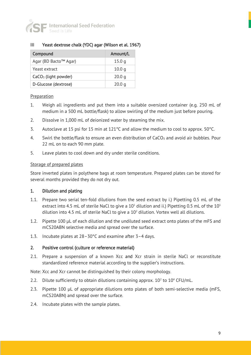

#### III Yeast dextrose chalk (YDC) agar (Wilson et al. 1967)

| Compound               | Amount/L          |
|------------------------|-------------------|
| Agar (BD Bacto™ Agar)  | 15.0q             |
| Yeast extract          | 10.0 <sub>q</sub> |
| $CaCO3$ (light powder) | 20.0 <sub>q</sub> |
| D-Glucose (dextrose)   | 20.0 <sub>q</sub> |

#### **Preparation**

- 1. Weigh all ingredients and put them into a suitable oversized container (e.g. 250 mL of medium in a 500 mL bottle/flask) to allow swirling of the medium just before pouring.
- 2. Dissolve in 1,000 mL of deionized water by steaming the mix.
- 3. Autoclave at 15 psi for 15 min at 121°C and allow the medium to cool to approx. 50°C.
- 4. Swirl the bottle/flask to ensure an even distribution of  $CaCO<sub>3</sub>$  and avoid air bubbles. Pour 22 mL on to each 90 mm plate.
- 5. Leave plates to cool down and dry under sterile conditions.

#### Storage of prepared plates

Store inverted plates in polythene bags at room temperature. Prepared plates can be stored for several months provided they do not dry out.

#### 1. Dilution and plating

- 1.1. Prepare two serial ten-fold dilutions from the seed extract by i.) Pipetting 0.5 mL of the extract into 4.5 mL of sterile NaCl to give a  $10^1$  dilution and ii.) Pipetting 0.5 mL of the  $10^1$ dilution into 4.5 mL of sterile NaCl to give a 10<sup>2</sup> dilution. Vortex well all dilutions.
- 1.2. Pipette 100 µL of each dilution and the undiluted seed extract onto plates of the mFS and mCS20ABN selective media and spread over the surface.
- 1.3. Incubate plates at 28–30°C and examine after 3–4 days.

#### 2. Positive control (culture or reference material)

2.1. Prepare a suspension of a known Xcc and Xcr strain in sterile NaCl or reconstitute standardized reference material according to the supplier's instructions.

Note: Xcc and Xcr cannot be distinguished by their colony morphology.

- 2.2. Dilute sufficiently to obtain dilutions containing approx.  $10<sup>2</sup>$  to  $10<sup>4</sup>$  CFU/mL.
- 2.3. Pipette 100 µL of appropriate dilutions onto plates of both semi-selective media (mFS, mCS20ABN) and spread over the surface.
- 2.4. Incubate plates with the sample plates.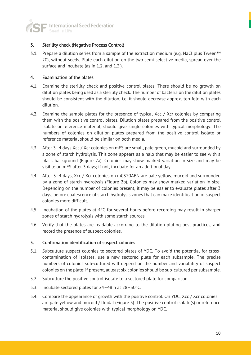

#### 3. Sterility check (Negative Process Control)

3.1. Prepare a dilution series from a sample of the extraction medium (e.g. NaCl plus Tween™ 20), without seeds. Plate each dilution on the two semi-selective media, spread over the surface and incubate (as in 1.2. and 1.3.).

#### 4. Examination of the plates

- 4.1. Examine the sterility check and positive control plates. There should be no growth on dilution plates being used as a sterility check. The number of bacteria on the dilution plates should be consistent with the dilution, i.e. it should decrease approx. ten-fold with each dilution.
- 4.2. Examine the sample plates for the presence of typical Xcc / Xcr colonies by comparing them with the positive control plates. Dilution plates prepared from the positive control isolate or reference material, should give single colonies with typical morphology. The numbers of colonies on dilution plates prepared from the positive control isolate or reference material should be similar on both media.
- 4.3. After 3–4 days Xcc / Xcr colonies on mFS are small, pale green, mucoid and surrounded by a zone of starch hydrolysis. This zone appears as a halo that may be easier to see with a black background (Figure 2a). Colonies may show marked variation in size and may be visible on mFS after 3 days; if not, incubate for an additional day.
- 4.4. After 3–4 days, Xcc / Xcr colonies on mCS20ABN are pale yellow, mucoid and surrounded by a zone of starch hydrolysis (Figure 2b). Colonies may show marked variation in size. Depending on the number of colonies present, it may be easier to evaluate plates after 3 days, before coalescence of starch hydrolysis zones that can make identification of suspect colonies more difficult.
- 4.5. Incubation of the plates at 4°C for several hours before recording may result in sharper zones of starch hydrolysis with some starch sources.
- 4.6. Verify that the plates are readable according to the dilution plating best practices, and record the presence of suspect colonies.

#### 5. Confirmation identification of suspect colonies

- 5.1. Subculture suspect colonies to sectored plates of YDC. To avoid the potential for crosscontamination of isolates, use a new sectored plate for each subsample. The precise numbers of colonies sub-cultured will depend on the number and variability of suspect colonies on the plate: if present, at least six colonies should be sub-cultured per subsample.
- 5.2. Subculture the positive control isolate to a sectored plate for comparison.
- 5.3. Incubate sectored plates for 24–48 h at 28–30°C.
- 5.4. Compare the appearance of growth with the positive control. On YDC, Xcc / Xcr colonies are pale yellow and mucoid / fluidal (Figure 3). The positive control isolate(s) or reference material should give colonies with typical morphology on YDC.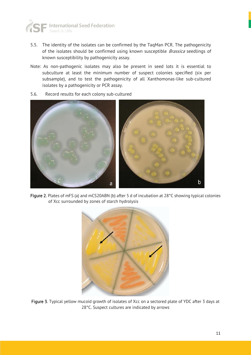

- 5.5. The identity of the isolates can be confirmed by the TaqMan PCR. The pathogenicity of the isolates should be confirmed using known susceptible *Brassica* seedlings of known susceptibility by pathogenicity assay.
- Note: As non-pathogenic isolates may also be present in seed lots it is essential to subculture at least the minimum number of suspect colonies specified (six per subsample), and to test the pathogenicity of all Xanthomonas-like sub-cultured isolates by a pathogenicity or PCR assay.
- 5.6. Record results for each colony sub-cultured



Figure 2. Plates of mFS (a) and mCS20ABN (b) after 5 d of incubation at 28°C showing typical colonies of Xcc surrounded by zones of starch hydrolysis



Figure 3. Typical yellow mucoid growth of isolates of Xcc on a sectored plate of YDC after 3 days at 28°C. Suspect cultures are indicated by arrows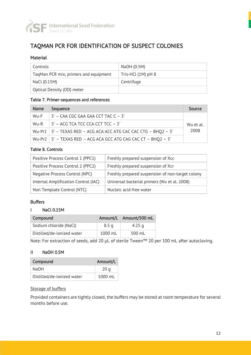

# TAQMAN PCR FOR IDENTIFICATION OF SUSPECT COLONIES

#### Material

| Controls                              | NaOH (0.5M)          |
|---------------------------------------|----------------------|
| TagMan PCR mix, primers and equipment | Tris-HCl $(1M)$ pH 8 |
| NaCl (0.15M)                          | Centrifuge           |
| Optical Density (OD) meter            |                      |

#### Table 7. Primer-sequences and references

| Name | Sequence                                                             | Source    |
|------|----------------------------------------------------------------------|-----------|
| Wu-F | $\vert$ 5' – CAA CGC GAA GAA CCT TAC C – 3'                          |           |
|      | Wu-R $\parallel$ 5' – ACG TCA TCC CCA CCT TCC – 3'                   | Wu et al. |
|      | Wu-Pr1   5' - TEXAS RED - ACG ACA ACC ATG CAC CAC CTG - BHQ2 - 3'    | 2008      |
|      | Wu-Pr2   $5'$ - TEXAS RED - ACG ACA GCC ATG CAG CAC CT - BHQ2 - $3'$ |           |

#### Table 8. Controls

| Positive Process Control 1 (PPC1)    | Freshly prepared suspension of Xcc               |
|--------------------------------------|--------------------------------------------------|
| Positive Process Control 2 (PPC2)    | Freshly prepared suspension of Xcr               |
| Negative Process Control (NPC)       | Freshly prepared suspension of non-target colony |
| Internal Amplification Control (IAC) | Universal bacterial primers (Wu et al. 2008)     |
| Non Template Control (NTC)           | Nucleic acid-free water                          |

#### Buffers

#### I NaCl 0.15M

| Compound                   | Amount/L         | Amount/500 mL |
|----------------------------|------------------|---------------|
| Sodium chloride (NaCl)     | 8.5 <sub>q</sub> | 4.25 g        |
| Distilled/de-ionized water | 1000 mL          | 500 mL        |

Note: For extraction of seeds, add 20 µL of sterile Tween™ 20 per 100 mL after autoclaving.

#### II NaOH 0.5M

| Compound                   | Amount/L          |
|----------------------------|-------------------|
| NaOH                       | 20q               |
| Distilled/de-ionized water | $1000 \text{ ml}$ |

#### Storage of buffers

Provided containers are tightly closed, the buffers may be stored at room temperature for several months before use.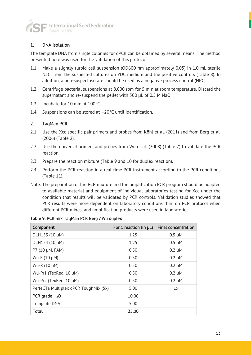

#### 1. DNA isolation

The template DNA from single colonies for qPCR can be obtained by several means. The method presented here was used for the validation of this protocol.

- 1.1. Make a slightly turbid cell suspension (OD600 nm approximately 0.05) in 1.0 mL sterile NaCl from the suspected cultures on YDC medium and the positive controls (Table 8). In addition, a non-suspect isolate should be used as a negative process control (NPC).
- 1.2. Centrifuge bacterial suspensions at 8,000 rpm for 5 min at room temperature. Discard the supernatant and re-suspend the pellet with 500 µL of 0.5 M NaOH.
- 1.3. Incubate for 10 min at 100°C.
- 1.4. Suspensions can be stored at –20°C until identification.

#### 2. TaqMan PCR

- 2.1. Use the Xcc specific pair primers and probes from Köhl et al. (2011) and from Berg et al. (2006) (Table 2).
- 2.2. Use the universal primers and probes from Wu et al. (2008) (Table 7) to validate the PCR reaction.
- 2.3. Prepare the reaction mixture (Table 9 and 10 for duplex reaction).
- 2.4. Perform the PCR reaction in a real-time PCR instrument according to the PCR conditions (Table 11).
- Note: The preparation of the PCR mixture and the amplification PCR program should be adapted to available material and equipment of individual laboratories testing for Xcc under the condition that results will be validated by PCR controls. Validation studies showed that PCR results were more dependent on laboratory conditions than on PCR protocol when different PCR mixes, and amplification products were used in laboratories.

Table 9. PCR mix TaqMan PCR Berg / Wu duplex

| Component                             | For 1 reaction (in $\mu$ L) | <b>Final concentration</b> |
|---------------------------------------|-----------------------------|----------------------------|
| DLH153 (10 µM)                        | 1.25                        | $0.5 \mu M$                |
| DLH154 (10 µM)                        | 1.25                        | $0.5 \mu M$                |
| P7 (10 µM, FAM)                       | 0.50                        | $0.2 \mu M$                |
| Wu-F (10 µM)                          | 0.50                        | $0.2 \mu M$                |
| Wu-R (10 µM)                          | 0.50                        | $0.2 \mu M$                |
| Wu-Pr1 (TexRed, 10 µM)                | 0.50                        | $0.2 \mu M$                |
| Wu-Pr2 (TexRed, 10 µM)                | 0.50                        | $0.2 \mu M$                |
| PerfeCTa Multiplex qPCR ToughMix (5x) | 5.00                        | 1x                         |
| PCR grade $H_2O$                      | 10.00                       |                            |
| Template DNA                          | 5.00                        |                            |
| <b>Total</b>                          | 25.00                       |                            |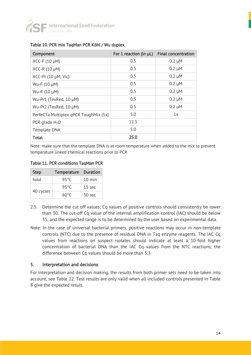

| Component                             | For 1 reaction (in $\mu$ L) | <b>Final concentration</b> |
|---------------------------------------|-----------------------------|----------------------------|
| $XCC-F (10 \mu M)$                    | 0.5                         | $0.2 \mu M$                |
| $XCC-R (10 \mu M)$                    | 0.5                         | $0.2 \mu M$                |
| $XCC-Pr(10 \mu M, Vic)$               | 0.5                         | $0.2 \mu M$                |
| Wu-F (10 µM)                          | 0.5                         | $0.2 \mu M$                |
| Wu-R (10 µM)                          | 0.5                         | $0.2 \mu M$                |
| Wu-Pr1 (TexRed, 10 µM)                | 0.5                         | $0.2 \mu M$                |
| Wu-Pr2 (TexRed, 10 µM)                | 0.5                         | $0.2 \mu M$                |
| PerfeCTa Multiplex qPCR ToughMix (5x) | 5.0                         | 1x                         |
| PCR grade $H_2O$                      | 11.5                        |                            |
| Template DNA                          | 5.0                         |                            |
| Total                                 | 25.0                        |                            |

#### Table 10. PCR mix TaqMan PCR Köhl / Wu duplex

Note: make sure that the template DNA is at room temperature when added to the mix to prevent temperature linked chemical reactions prior to PCR

Table 11. PCR conditions TaqMan PCR

| <b>Step</b> | <b>Temperature</b> | <b>Duration</b>   |
|-------------|--------------------|-------------------|
| hold        | 95°C               | $10 \text{ min}$  |
|             | 95°C               | 15 <sub>sec</sub> |
| 40 cycles   | 60°C               | 30 sec            |

- 2.5. Determine the cut off values; Cq values of positive controls should consistently be lower than 30. The cut-off Cq value of the internal amplification control (IAC) should be below 35, and the expected range is to be determined by the user based on experimental data.
- Note: In the case of universal bacterial primers, positive reactions may occur in non-template controls (NTC) due to the presence of residual DNA in Taq enzyme reagents. The IAC Cq values from reactions on suspect isolates should indicate at least a 10-fold higher concentration of bacterial DNA than the IAC Cq values from the NTC reactions; the difference between Cq values should be more than 3.3.

#### 5. Interpretation and decisions

For interpretation and decision making, the results from both primer sets need to be taken into account, see Table 12. Test results are only valid when all included controls presented in Table 8 give the expected result.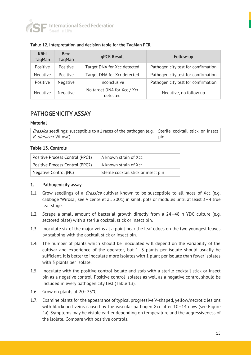

| Köhl<br>TaqMan | <b>Berg</b><br><b>TagMan</b> | qPCR Result                             | Follow-up                           |
|----------------|------------------------------|-----------------------------------------|-------------------------------------|
| Positive       | Positive                     | Target DNA for Xcc detected             | Pathogenicity test for confirmation |
| Negative       | Positive                     | Target DNA for Xcr detected             | Pathogenicity test for confirmation |
| Positive       | Negative                     | Inconclusive                            | Pathogenicity test for confirmation |
| Negative       | Negative                     | No target DNA for Xcc / Xcr<br>detected | Negative, no follow up              |

#### Table 12. Interpretation and decision table for the TaqMan PCR

### PATHOGENICITY ASSAY

#### **Material**

| <i>Brassica</i> seedlings: susceptible to all races of the pathogen (e.g. Sterile cocktail stick or insect |     |
|------------------------------------------------------------------------------------------------------------|-----|
| <i>B. oleracea</i> 'Wirosa')                                                                               | pin |

#### Table 13. Controls

| Positive Process Control (PPC1) | A known strain of Xcc                |
|---------------------------------|--------------------------------------|
| Positive Process Control (PPC2) | A known strain of Xcr                |
| Negative Control (NC)           | Sterile cocktail stick or insect pin |

#### 1. Pathogenicity assay

- 1.1. Grow seedlings of a *Brassica* cultivar known to be susceptible to all races of Xcc (e.g. cabbage 'Wirosa', see Vicente et al. 2001) in small pots or modules until at least 3–4 true leaf stage.
- 1.2. Scrape a small amount of bacterial growth directly from a 24–48 h YDC culture (e.g. sectored plate) with a sterile cocktail stick or insect pin.
- 1.3. Inoculate six of the major veins at a point near the leaf edges on the two youngest leaves by stabbing with the cocktail stick or insect pin.
- 1.4. The number of plants which should be inoculated will depend on the variability of the cultivar and experience of the operator, but  $1-3$  plants per isolate should usually be sufficient. It is better to inoculate more isolates with 1 plant per isolate than fewer isolates with 3 plants per isolate.
- 1.5. Inoculate with the positive control isolate and stab with a sterile cocktail stick or insect pin as a negative control. Positive control isolates as well as a negative control should be included in every pathogenicity test (Table 13).
- 1.6. Grow on plants at 20–25°C.
- 1.7. Examine plants for the appearance of typical progressive V-shaped, yellow/necrotic lesions with blackened veins caused by the vascular pathogen Xcc after 10–14 days (see Figure 4a). Symptoms may be visible earlier depending on temperature and the aggressiveness of the isolate. Compare with positive controls.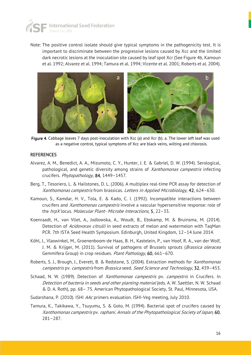

Note: The positive control isolate should give typical symptoms in the pathogenicity test. It is important to discriminate between the progressive lesions caused by Xcc and the limited dark necrotic lesions at the inoculation site caused by leaf spot Xcr (See Figure 4b, Kamoun et al. 1992; Alvarez et al. 1994; Tamura et al. 1994; Vicente et al. 2001; Roberts et al. 2004).



Figure 4. Cabbage leaves 7 days post-inoculation with Xcc (a) and Xcr (b). a. The lower left leaf was used as a negative control, typical symptoms of Xcc are black veins, wilting and chlorosis.

#### **REFERENCES**

- Alvarez, A. M., Benedict, A. A., Mizumoto, C. Y., Hunter, J. E. & Gabriel, D. W. (1994). Serological, pathological, and genetic diversity among strains of *Xanthomonas campestris* infecting crucifers. Phytopathology, 84, 1449-1457.
- Berg, T., Tesoriero, L. & Hailstones, D. L. (2006). A multiplex real-time PCR assay for detection of Xanthomonas campestris from brassicas. Letters in Applied Microbiology, 42, 624–630.
- Kamoun, S., Kamdar, H. V., Tola, E. & Kado, C. I. (1992). Incompatible interactions between crucifers and *Xanthomonas campestris* involve a vascular hypersensitive response: role of the hrpX locus. Molecular Plant- Microbe Interactions, 5, 22–33.
- Koenraadt, H., van Vliet, A., Jodlowska, A., Woudt, B., Ebskamp, M. & Bruinsma, M. (2014). Detection of Acidovorax citrulli in seed extracts of melon and watermelon with TaqMan PCR. 7th ISTA Seed Health Symposium. Edinburgh, United Kingdom, 12–14 June 2014.
- Köhl, J., Vlaswinkel, M., Groenenboom-de Haas, B. H., Kastelein, P., van Hoof, R. A., van der Wolf, J. M. & Krijger, M. (2011). Survival of pathogens of Brussels sprouts (*Brassica oleracea* Gemmifera Group) in crop residues. Plant Pathology, 60, 661–670.
- Roberts, S. J., Brough, J., Everett, B. & Redstone, S. (2004). Extraction methods for *Xanthomonas* campestris py. campestris from Brassica seed. Seed Science and Technology, 32, 439–453.
- Schaad, N. W. (1989). Detection of *Xanthomonas campestris* pv. *campestris* in Crucifers. In Detection of bacteria in seeds and other planting material (eds. A. W. Saettler, N. W. Schaad & D. A. Roth), pp. 68– 75. American Phytopathological Society, St. Paul, Minnesota, USA.
- Sudarshana, P. (2010). ISHI AAc primers evaluation. ISHI-Veg meeting, July 2010.
- Tamura, K., Takikawa, Y., Tsuyumu, S. & Goto, M. (1994). Bacterial spot of crucifers caused by Xanthomonas campestris pv. raphani. Annals of the Phytopathological Society of Japan, 60, 281–287.